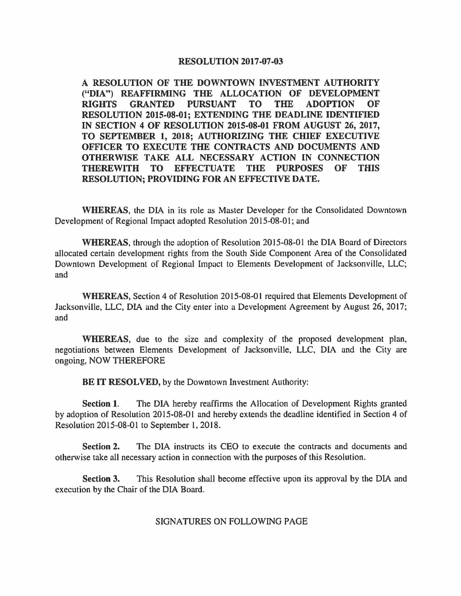## **RESOLUTION 2017-07-03**

**A RESOLUTION OF THE DOWNTOWN INVESTMENT AUTHORITY ("DIA") REAFFIRMING THE ALLOCATION OF DEVELOPMENT RIGHTS GRANTED PURSUANT TO THE ADOPTION OF RESOLUTION 2015-08-01; EXTENDING THE DEADLINE IDENTIFIED IN SECTION 4 OF RESOLUTION 2015-08-01 FROM AUGUST 26, 2017, TO SEPTEMBER 1, 2018; AUTHORIZING THE CHIEF EXECUTIVE OFFICER TO EXECUTE THE CONTRACTS AND DOCUMENTS AND OTHERWISE TAKE ALL NECESSARY ACTION IN CONNECTION THEREWITH TO EFFECTUATE THE PURPOSES OF THIS RESOLUTION; PROVIDING FOR AN EFFECTIVE DATE.** 

**WHEREAS,** the DIA in its role as Master Developer for the Consolidated Downtown Development of Regional Impact adopted Resolution 2015-08-01; and

**WHEREAS,** through the adoption of Resolution 2015-08-01 the DIA Board of Directors allocated certain development rights from the South Side Component Area of the Consolidated Downtown Development of Regional Impact to Elements Development of Jacksonville, LLC; and

**WHEREAS,** Section 4 of Resolution 2015-08-01 required that Elements Development of Jacksonville, LLC, DIA and the City enter into a Development Agreement by August 26, 2017; and

**WHEREAS,** due to the size and complexity of the proposed development plan, negotiations between Elements Development of Jacksonville, LLC, DIA and the City are ongoing, NOW THEREFORE

**BE IT RESOLVED, by the Downtown Investment Authority:** 

**Section 1.** The DIA hereby reaffirms the Allocation of Development Rights granted by adoption of Resolution 2015-08-01 and hereby extends the deadline identified in Section 4 of Resolution 2015-08-01 to September 1, 2018.

**Section 2.** The DIA instructs its CEO to execute the contracts and documents and otherwise take all necessary action in connection with the purposes of this Resolution.

**Section 3.** This Resolution shall become effective upon its approval by the DIA and execution by the Chair of the DIA Board.

SIGNATURES ON FOLLOWING PAGE